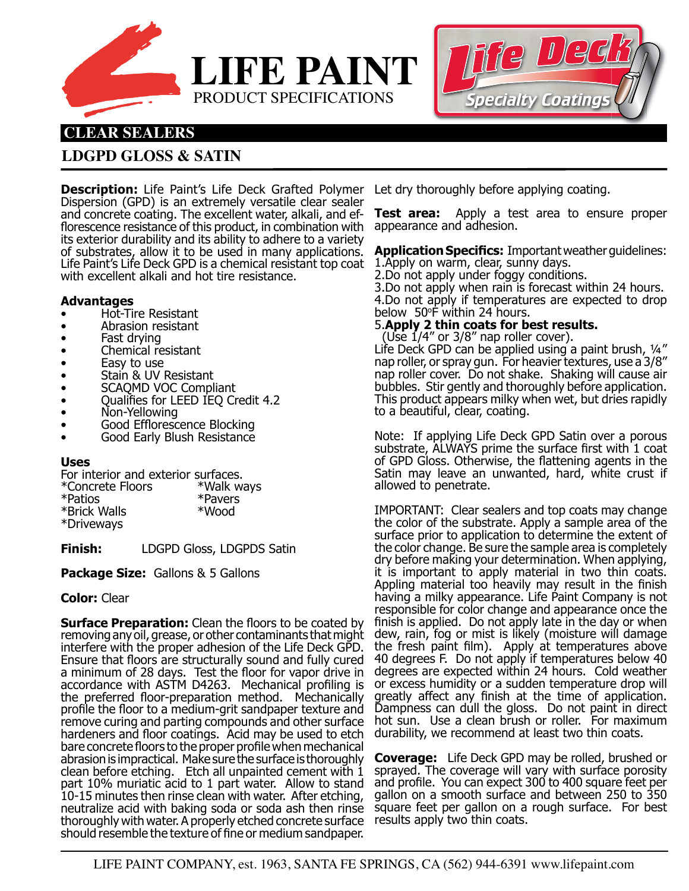



# **CLEAR SEALERS**

## **LDGPD GLOSS & SATIN**

**Description:** Life Paint's Life Deck Grafted Polymer Dispersion (GPD) is an extremely versatile clear sealer and concrete coating. The excellent water, alkali, and efflorescence resistance of this product, in combination with its exterior durability and its ability to adhere to a variety of substrates, allow it to be used in many applications. Life Paint's Life Deck GPD is a chemical resistant top coat with excellent alkali and hot tire resistance.

### **Advantages**

- Hot-Tire Resistant
- Abrasion resistant
- Fast drying
- Chemical resistant
- Easy to use
- Stain & UV Resistant
- SCAQMD VOC Compliant
- Qualifies for LEED IEQ Credit 4.2
- Non-Yellowing
- Good Efflorescence Blocking
- Good Early Blush Resistance

### **Uses**

For interior and exterior surfaces. \*Concrete Floors \*Walk ways \*Patios \*Pavers \*Brick Walls \*Driveways

**Finish:** LDGPD Gloss, LDGPDS Satin

**Package Size:** Gallons & 5 Gallons

## **Color:** Clear

**Surface Preparation:** Clean the floors to be coated by removing any oil, grease, or other contaminants that might interfere with the proper adhesion of the Life Deck GPD. Ensure that floors are structurally sound and fully cured a minimum of 28 days. Test the floor for vapor drive in accordance with ASTM D4263. Mechanical profiling is the preferred floor-preparation method. Mechanically profile the floor to a medium-grit sandpaper texture and remove curing and parting compounds and other surface hardeners and floor coatings. Acid may be used to etch bare concrete floors to the proper profile when mechanical abrasion is impractical. Make sure the surface is thoroughly clean before etching. Etch all unpainted cement with 1 part 10% muriatic acid to 1 part water. Allow to stand 10-15 minutes then rinse clean with water. After etching, neutralize acid with baking soda or soda ash then rinse thoroughly with water. A properly etched concrete surface results apply two thin coats.should resemble the texture of fine or medium sandpaper.

Let dry thoroughly before applying coating.

**Test area:** Apply a test area to ensure proper appearance and adhesion.

**Application Specifics:** Important weather guidelines: 1.Apply on warm, clear, sunny days.

2.Do not apply under foggy conditions.

3.Do not apply when rain is forecast within 24 hours. 4.Do not apply if temperatures are expected to drop below 50°F within 24 hours.

## 5.**Apply 2 thin coats for best results.**

(Use  $1/4$ " or  $3/8$ " nap roller cover).

Life Deck GPD can be applied using a paint brush, ¼" nap roller, or spray gun. For heavier textures, use a 3/8" nap roller cover. Do not shake. Shaking will cause air bubbles. Stir gently and thoroughly before application. This product appears milky when wet, but dries rapidly to a beautiful, clear, coating.

Note: If applying Life Deck GPD Satin over a porous substrate, ALWAYS prime the surface first with 1 coat of GPD Gloss. Otherwise, the flattening agents in the Satin may leave an unwanted, hard, white crust if allowed to penetrate.

IMPORTANT: Clear sealers and top coats may change the color of the substrate. Apply a sample area of the surface prior to application to determine the extent of the color change. Be sure the sample area is completely dry before making your determination. When applying, it is important to apply material in two thin coats. Appling material too heavily may result in the finish having a milky appearance. Life Paint Company is not responsible for color change and appearance once the finish is applied. Do not apply late in the day or when dew, rain, fog or mist is likely (moisture will damage the fresh paint film). Apply at temperatures above 40 degrees F. Do not apply if temperatures below 40 degrees are expected within 24 hours. Cold weather or excess humidity or a sudden temperature drop will greatly affect any finish at the time of application. Dampness can dull the gloss. Do not paint in direct hot sun. Use a clean brush or roller. For maximum durability, we recommend at least two thin coats.

**Coverage:** Life Deck GPD may be rolled, brushed or sprayed. The coverage will vary with surface porosity and profile. You can expect 300 to 400 square feet per gallon on a smooth surface and between 250 to 350 square feet per gallon on a rough surface. For best